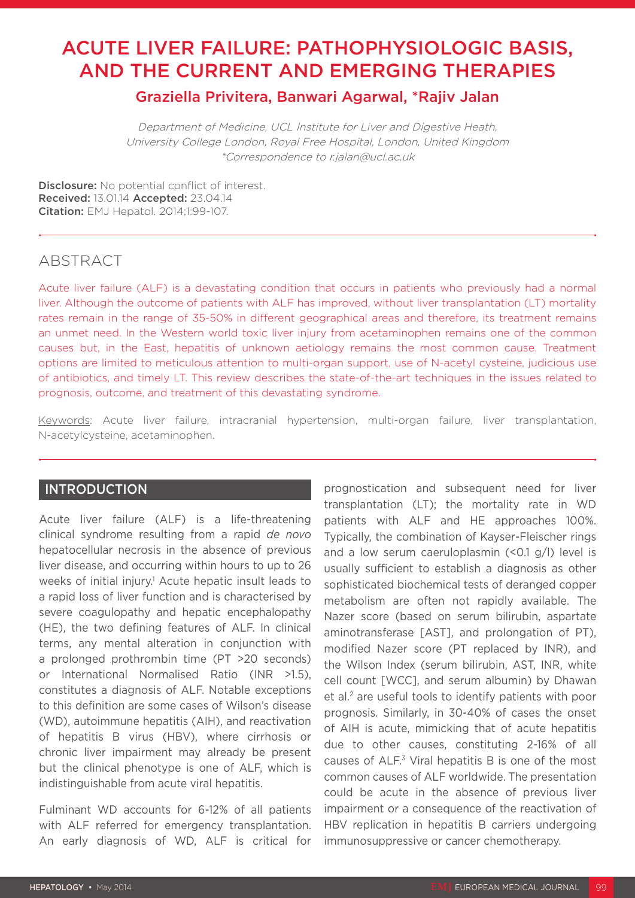# ACUTE LIVER FAILURE: PATHOPHYSIOLOGIC BASIS, AND THE CURRENT AND EMERGING THERAPIES

Graziella Privitera, Banwari Agarwal, \*Rajiv Jalan

Department of Medicine, UCL Institute for Liver and Digestive Heath, University College London, Royal Free Hospital, London, United Kingdom \*Correspondence to r.jalan@ucl.ac.uk

Disclosure: No potential conflict of interest. Received: 13.01.14 Accepted: 23.04.14 **Citation:** EMJ Hepatol. 2014;1:99-107.

# ABSTRACT

Acute liver failure (ALF) is a devastating condition that occurs in patients who previously had a normal liver. Although the outcome of patients with ALF has improved, without liver transplantation (LT) mortality rates remain in the range of 35-50% in different geographical areas and therefore, its treatment remains an unmet need. In the Western world toxic liver injury from acetaminophen remains one of the common causes but, in the East, hepatitis of unknown aetiology remains the most common cause. Treatment options are limited to meticulous attention to multi-organ support, use of N-acetyl cysteine, judicious use of antibiotics, and timely LT. This review describes the state-of-the-art techniques in the issues related to prognosis, outcome, and treatment of this devastating syndrome.

Keywords: Acute liver failure, intracranial hypertension, multi-organ failure, liver transplantation, N-acetylcysteine, acetaminophen.

# INTRODUCTION

Acute liver failure (ALF) is a life-threatening clinical syndrome resulting from a rapid *de novo*  hepatocellular necrosis in the absence of previous liver disease, and occurring within hours to up to 26 weeks of initial injury.<sup>1</sup> Acute hepatic insult leads to a rapid loss of liver function and is characterised by severe coagulopathy and hepatic encephalopathy (HE), the two defining features of ALF. In clinical terms, any mental alteration in conjunction with a prolonged prothrombin time (PT >20 seconds) or International Normalised Ratio (INR >1.5), constitutes a diagnosis of ALF. Notable exceptions to this definition are some cases of Wilson's disease (WD), autoimmune hepatitis (AIH), and reactivation of hepatitis B virus (HBV), where cirrhosis or chronic liver impairment may already be present but the clinical phenotype is one of ALF, which is indistinguishable from acute viral hepatitis.

Fulminant WD accounts for 6-12% of all patients with ALF referred for emergency transplantation. An early diagnosis of WD, ALF is critical for prognostication and subsequent need for liver transplantation (LT); the mortality rate in WD patients with ALF and HE approaches 100%. Typically, the combination of Kayser-Fleischer rings and a low serum caeruloplasmin  $(\leq 0.1 \, g/l)$  level is usually sufficient to establish a diagnosis as other sophisticated biochemical tests of deranged copper metabolism are often not rapidly available. The Nazer score (based on serum bilirubin, aspartate aminotransferase [AST], and prolongation of PT), modified Nazer score (PT replaced by INR), and the Wilson Index (serum bilirubin, AST, INR, white cell count [WCC], and serum albumin) by Dhawan et al.<sup>2</sup> are useful tools to identify patients with poor prognosis. Similarly, in 30-40% of cases the onset of AIH is acute, mimicking that of acute hepatitis due to other causes, constituting 2-16% of all causes of ALF.3 Viral hepatitis B is one of the most common causes of ALF worldwide. The presentation could be acute in the absence of previous liver impairment or a consequence of the reactivation of HBV replication in hepatitis B carriers undergoing immunosuppressive or cancer chemotherapy.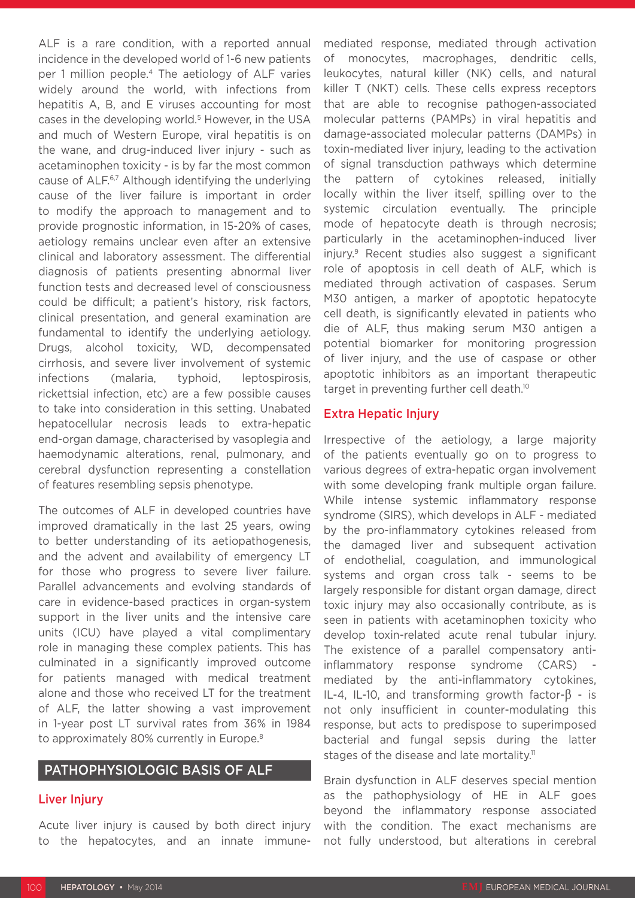ALF is a rare condition, with a reported annual incidence in the developed world of 1-6 new patients per 1 million people.4 The aetiology of ALF varies widely around the world, with infections from hepatitis A, B, and E viruses accounting for most cases in the developing world.<sup>5</sup> However, in the USA and much of Western Europe, viral hepatitis is on the wane, and drug-induced liver injury - such as acetaminophen toxicity - is by far the most common cause of ALF.<sup>6,7</sup> Although identifying the underlying cause of the liver failure is important in order to modify the approach to management and to provide prognostic information, in 15-20% of cases, aetiology remains unclear even after an extensive clinical and laboratory assessment. The differential diagnosis of patients presenting abnormal liver function tests and decreased level of consciousness could be difficult; a patient's history, risk factors, clinical presentation, and general examination are fundamental to identify the underlying aetiology. Drugs, alcohol toxicity, WD, decompensated cirrhosis, and severe liver involvement of systemic infections (malaria, typhoid, leptospirosis, rickettsial infection, etc) are a few possible causes to take into consideration in this setting. Unabated hepatocellular necrosis leads to extra-hepatic end-organ damage, characterised by vasoplegia and haemodynamic alterations, renal, pulmonary, and cerebral dysfunction representing a constellation of features resembling sepsis phenotype.

The outcomes of ALF in developed countries have improved dramatically in the last 25 years, owing to better understanding of its aetiopathogenesis, and the advent and availability of emergency LT for those who progress to severe liver failure. Parallel advancements and evolving standards of care in evidence-based practices in organ-system support in the liver units and the intensive care units (ICU) have played a vital complimentary role in managing these complex patients. This has culminated in a significantly improved outcome for patients managed with medical treatment alone and those who received LT for the treatment of ALF, the latter showing a vast improvement in 1-year post LT survival rates from 36% in 1984 to approximately 80% currently in Europe.<sup>8</sup>

# PATHOPHYSIOLOGIC BASIS OF ALF

#### Liver Injury

Acute liver injury is caused by both direct injury to the hepatocytes, and an innate immunemediated response, mediated through activation of monocytes, macrophages, dendritic cells, leukocytes, natural killer (NK) cells, and natural killer T (NKT) cells. These cells express receptors that are able to recognise pathogen-associated molecular patterns (PAMPs) in viral hepatitis and damage-associated molecular patterns (DAMPs) in toxin-mediated liver injury, leading to the activation of signal transduction pathways which determine the pattern of cytokines released, initially locally within the liver itself, spilling over to the systemic circulation eventually. The principle mode of hepatocyte death is through necrosis; particularly in the acetaminophen-induced liver injury.<sup>9</sup> Recent studies also suggest a significant role of apoptosis in cell death of ALF, which is mediated through activation of caspases. Serum M30 antigen, a marker of apoptotic hepatocyte cell death, is significantly elevated in patients who die of ALF, thus making serum M30 antigen a potential biomarker for monitoring progression of liver injury, and the use of caspase or other apoptotic inhibitors as an important therapeutic target in preventing further cell death.<sup>10</sup>

### Extra Hepatic Injury

Irrespective of the aetiology, a large majority of the patients eventually go on to progress to various degrees of extra-hepatic organ involvement with some developing frank multiple organ failure. While intense systemic inflammatory response syndrome (SIRS), which develops in ALF - mediated by the pro-inflammatory cytokines released from the damaged liver and subsequent activation of endothelial, coagulation, and immunological systems and organ cross talk - seems to be largely responsible for distant organ damage, direct toxic injury may also occasionally contribute, as is seen in patients with acetaminophen toxicity who develop toxin-related acute renal tubular injury. The existence of a parallel compensatory antiinflammatory response syndrome (CARS) mediated by the anti-inflammatory cytokines, IL-4, IL-10, and transforming growth factor- $\beta$  - is not only insufficient in counter-modulating this response, but acts to predispose to superimposed bacterial and fungal sepsis during the latter stages of the disease and late mortality.<sup>11</sup>

Brain dysfunction in ALF deserves special mention as the pathophysiology of HE in ALF goes beyond the inflammatory response associated with the condition. The exact mechanisms are not fully understood, but alterations in cerebral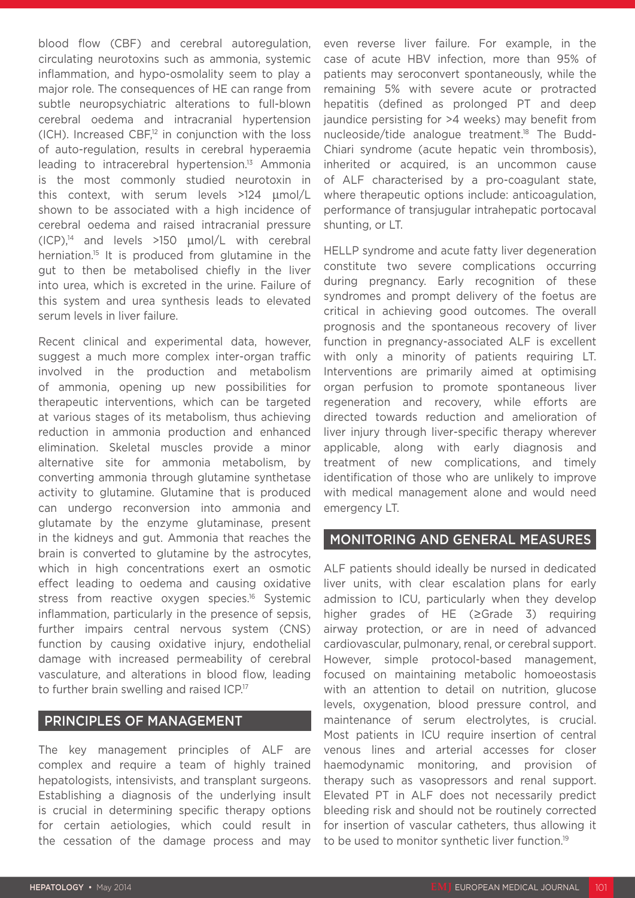blood flow (CBF) and cerebral autoregulation, circulating neurotoxins such as ammonia, systemic inflammation, and hypo-osmolality seem to play a major role. The consequences of HE can range from subtle neuropsychiatric alterations to full-blown cerebral oedema and intracranial hypertension (ICH). Increased CBF,<sup>12</sup> in conjunction with the loss of auto-regulation, results in cerebral hyperaemia leading to intracerebral hypertension. $13$  Ammonia is the most commonly studied neurotoxin in this context, with serum levels >124 µmol/L shown to be associated with a high incidence of cerebral oedema and raised intracranial pressure  $(ICP)^{14}$  and levels >150  $\mu$ mol/L with cerebral herniation.<sup>15</sup> It is produced from glutamine in the gut to then be metabolised chiefly in the liver into urea, which is excreted in the urine. Failure of this system and urea synthesis leads to elevated serum levels in liver failure.

Recent clinical and experimental data, however, suggest a much more complex inter-organ traffic involved in the production and metabolism of ammonia, opening up new possibilities for therapeutic interventions, which can be targeted at various stages of its metabolism, thus achieving reduction in ammonia production and enhanced elimination. Skeletal muscles provide a minor alternative site for ammonia metabolism, by converting ammonia through glutamine synthetase activity to glutamine. Glutamine that is produced can undergo reconversion into ammonia and glutamate by the enzyme glutaminase, present in the kidneys and gut. Ammonia that reaches the brain is converted to glutamine by the astrocytes, which in high concentrations exert an osmotic effect leading to oedema and causing oxidative stress from reactive oxygen species.<sup>16</sup> Systemic inflammation, particularly in the presence of sepsis, further impairs central nervous system (CNS) function by causing oxidative injury, endothelial damage with increased permeability of cerebral vasculature, and alterations in blood flow, leading to further brain swelling and raised ICP.<sup>17</sup>

## PRINCIPLES OF MANAGEMENT

The key management principles of ALF are complex and require a team of highly trained hepatologists, intensivists, and transplant surgeons. Establishing a diagnosis of the underlying insult is crucial in determining specific therapy options for certain aetiologies, which could result in the cessation of the damage process and may even reverse liver failure. For example, in the case of acute HBV infection, more than 95% of patients may seroconvert spontaneously, while the remaining 5% with severe acute or protracted hepatitis (defined as prolonged PT and deep jaundice persisting for >4 weeks) may benefit from nucleoside/tide analogue treatment.18 The Budd-Chiari syndrome (acute hepatic vein thrombosis), inherited or acquired, is an uncommon cause of ALF characterised by a pro-coagulant state, where therapeutic options include: anticoagulation, performance of transjugular intrahepatic portocaval shunting, or LT.

HELLP syndrome and acute fatty liver degeneration constitute two severe complications occurring during pregnancy. Early recognition of these syndromes and prompt delivery of the foetus are critical in achieving good outcomes. The overall prognosis and the spontaneous recovery of liver function in pregnancy-associated ALF is excellent with only a minority of patients requiring LT. Interventions are primarily aimed at optimising organ perfusion to promote spontaneous liver regeneration and recovery, while efforts are directed towards reduction and amelioration of liver injury through liver-specific therapy wherever applicable, along with early diagnosis and treatment of new complications, and timely identification of those who are unlikely to improve with medical management alone and would need emergency LT.

## MONITORING AND GENERAL MEASURES

ALF patients should ideally be nursed in dedicated liver units, with clear escalation plans for early admission to ICU, particularly when they develop higher grades of HE (≥Grade 3) requiring airway protection, or are in need of advanced cardiovascular, pulmonary, renal, or cerebral support. However, simple protocol-based management, focused on maintaining metabolic homoeostasis with an attention to detail on nutrition, glucose levels, oxygenation, blood pressure control, and maintenance of serum electrolytes, is crucial. Most patients in ICU require insertion of central venous lines and arterial accesses for closer haemodynamic monitoring, and provision of therapy such as vasopressors and renal support. Elevated PT in ALF does not necessarily predict bleeding risk and should not be routinely corrected for insertion of vascular catheters, thus allowing it to be used to monitor synthetic liver function.<sup>19</sup>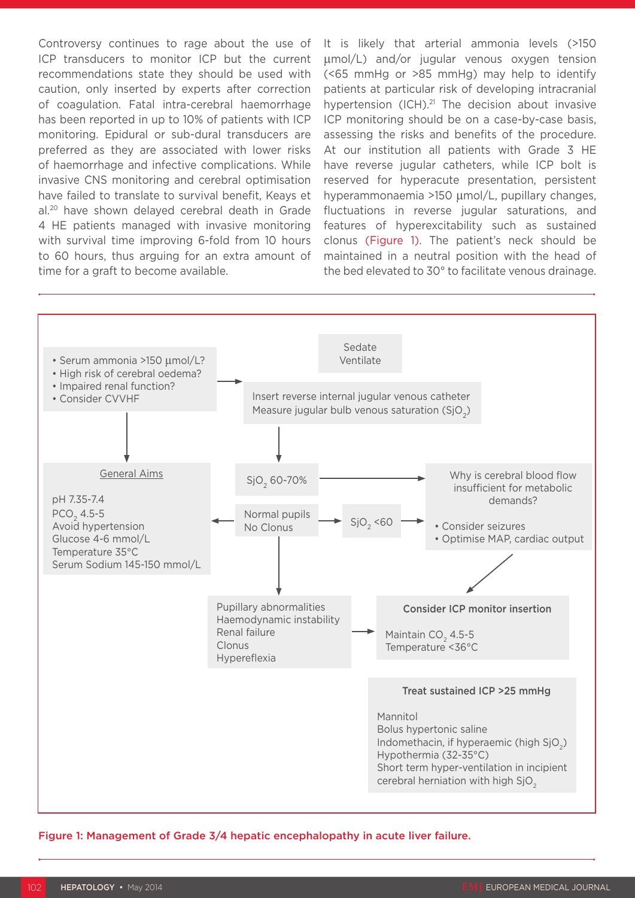Controversy continues to rage about the use of ICP transducers to monitor ICP but the current recommendations state they should be used with caution, only inserted by experts after correction of coagulation. Fatal intra-cerebral haemorrhage has been reported in up to 10% of patients with ICP monitoring. Epidural or sub-dural transducers are preferred as they are associated with lower risks of haemorrhage and infective complications. While invasive CNS monitoring and cerebral optimisation have failed to translate to survival benefit, Keays et al.20 have shown delayed cerebral death in Grade 4 HE patients managed with invasive monitoring with survival time improving 6-fold from 10 hours to 60 hours, thus arguing for an extra amount of time for a graft to become available.

It is likely that arterial ammonia levels (>150 µmol/L) and/or jugular venous oxygen tension (<65 mmHg or >85 mmHg) may help to identify patients at particular risk of developing intracranial hypertension  $(ICH).<sup>21</sup>$  The decision about invasive ICP monitoring should be on a case-by-case basis, assessing the risks and benefits of the procedure. At our institution all patients with Grade 3 HE have reverse jugular catheters, while ICP bolt is reserved for hyperacute presentation, persistent hyperammonaemia >150 µmol/L, pupillary changes, fluctuations in reverse jugular saturations, and features of hyperexcitability such as sustained clonus (Figure 1). The patient's neck should be maintained in a neutral position with the head of the bed elevated to 30° to facilitate venous drainage.



Figure 1: Management of Grade 3/4 hepatic encephalopathy in acute liver failure.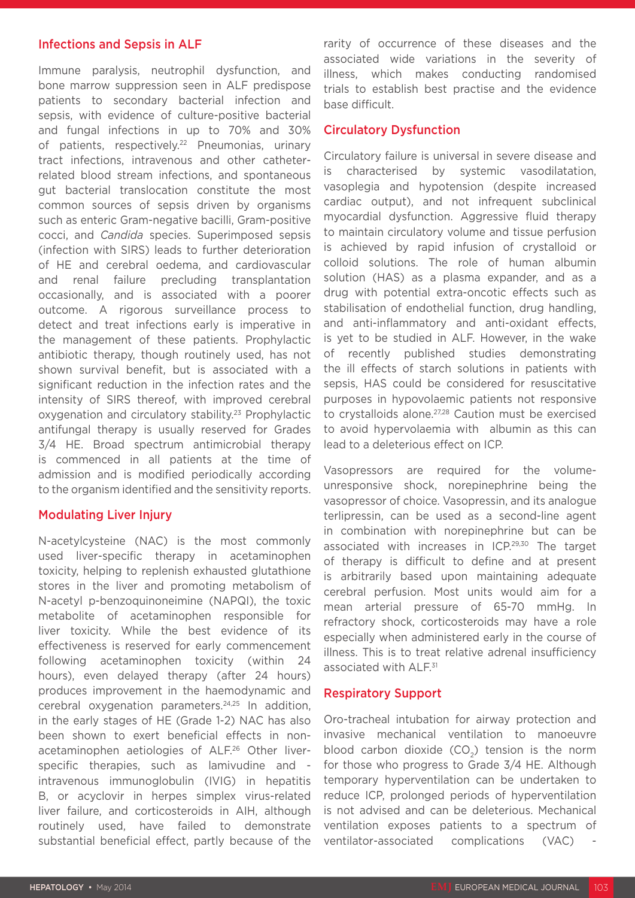#### Infections and Sepsis in ALF

Immune paralysis, neutrophil dysfunction, and bone marrow suppression seen in ALF predispose patients to secondary bacterial infection and sepsis, with evidence of culture-positive bacterial and fungal infections in up to 70% and 30% of patients, respectively.<sup>22</sup> Pneumonias, urinary tract infections, intravenous and other catheterrelated blood stream infections, and spontaneous gut bacterial translocation constitute the most common sources of sepsis driven by organisms such as enteric Gram-negative bacilli, Gram-positive cocci, and *Candida* species. Superimposed sepsis (infection with SIRS) leads to further deterioration of HE and cerebral oedema, and cardiovascular and renal failure precluding transplantation occasionally, and is associated with a poorer outcome. A rigorous surveillance process to detect and treat infections early is imperative in the management of these patients. Prophylactic antibiotic therapy, though routinely used, has not shown survival benefit, but is associated with a significant reduction in the infection rates and the intensity of SIRS thereof, with improved cerebral oxygenation and circulatory stability.<sup>23</sup> Prophylactic antifungal therapy is usually reserved for Grades 3/4 HE. Broad spectrum antimicrobial therapy is commenced in all patients at the time of admission and is modified periodically according to the organism identified and the sensitivity reports.

### Modulating Liver Injury

N-acetylcysteine (NAC) is the most commonly used liver-specific therapy in acetaminophen toxicity, helping to replenish exhausted glutathione stores in the liver and promoting metabolism of N-acetyl p-benzoquinoneimine (NAPQI), the toxic metabolite of acetaminophen responsible for liver toxicity. While the best evidence of its effectiveness is reserved for early commencement following acetaminophen toxicity (within 24 hours), even delayed therapy (after 24 hours) produces improvement in the haemodynamic and cerebral oxygenation parameters.24,25 In addition, in the early stages of HE (Grade 1-2) NAC has also been shown to exert beneficial effects in nonacetaminophen aetiologies of ALF.26 Other liverspecific therapies, such as lamivudine and intravenous immunoglobulin (IVIG) in hepatitis B, or acyclovir in herpes simplex virus-related liver failure, and corticosteroids in AIH, although routinely used, have failed to demonstrate substantial beneficial effect, partly because of the

rarity of occurrence of these diseases and the associated wide variations in the severity of illness, which makes conducting randomised trials to establish best practise and the evidence base difficult.

#### Circulatory Dysfunction

Circulatory failure is universal in severe disease and is characterised by systemic vasodilatation, vasoplegia and hypotension (despite increased cardiac output), and not infrequent subclinical myocardial dysfunction. Aggressive fluid therapy to maintain circulatory volume and tissue perfusion is achieved by rapid infusion of crystalloid or colloid solutions. The role of human albumin solution (HAS) as a plasma expander, and as a drug with potential extra-oncotic effects such as stabilisation of endothelial function, drug handling, and anti-inflammatory and anti-oxidant effects, is yet to be studied in ALF. However, in the wake of recently published studies demonstrating the ill effects of starch solutions in patients with sepsis, HAS could be considered for resuscitative purposes in hypovolaemic patients not responsive to crystalloids alone.<sup>27,28</sup> Caution must be exercised to avoid hypervolaemia with albumin as this can lead to a deleterious effect on ICP.

Vasopressors are required for the volumeunresponsive shock, norepinephrine being the vasopressor of choice. Vasopressin, and its analogue terlipressin, can be used as a second-line agent in combination with norepinephrine but can be associated with increases in ICP.29,30 The target of therapy is difficult to define and at present is arbitrarily based upon maintaining adequate cerebral perfusion. Most units would aim for a mean arterial pressure of 65-70 mmHg. In refractory shock, corticosteroids may have a role especially when administered early in the course of illness. This is to treat relative adrenal insufficiency associated with ALF.<sup>31</sup>

### Respiratory Support

Oro-tracheal intubation for airway protection and invasive mechanical ventilation to manoeuvre blood carbon dioxide  $(CO<sub>2</sub>)$  tension is the norm for those who progress to Grade 3/4 HE. Although temporary hyperventilation can be undertaken to reduce ICP, prolonged periods of hyperventilation is not advised and can be deleterious. Mechanical ventilation exposes patients to a spectrum of ventilator-associated complications (VAC)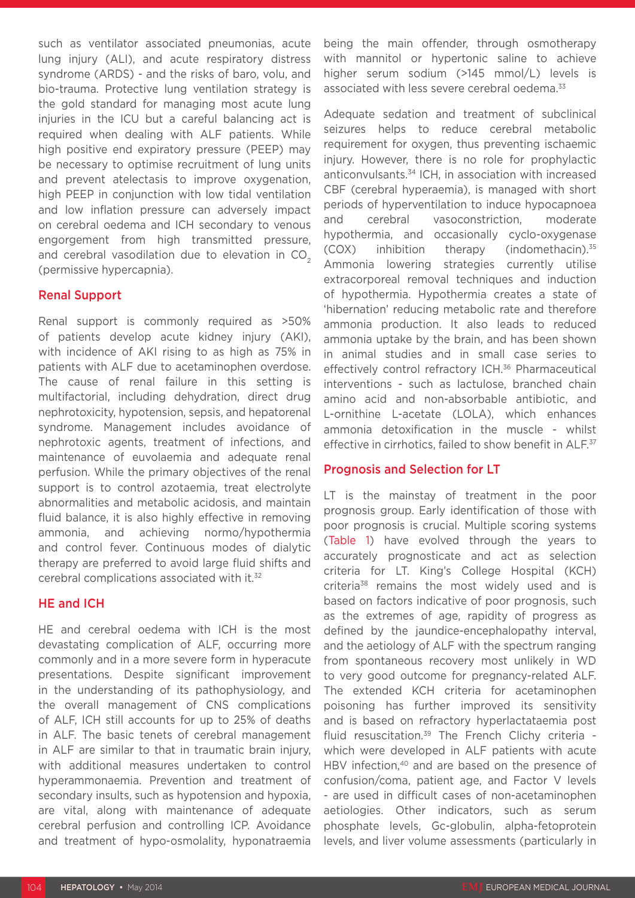such as ventilator associated pneumonias, acute lung injury (ALI), and acute respiratory distress syndrome (ARDS) - and the risks of baro, volu, and bio-trauma. Protective lung ventilation strategy is the gold standard for managing most acute lung injuries in the ICU but a careful balancing act is required when dealing with ALF patients. While high positive end expiratory pressure (PEEP) may be necessary to optimise recruitment of lung units and prevent atelectasis to improve oxygenation, high PEEP in conjunction with low tidal ventilation and low inflation pressure can adversely impact on cerebral oedema and ICH secondary to venous engorgement from high transmitted pressure, and cerebral vasodilation due to elevation in CO<sub>2</sub> (permissive hypercapnia).

#### Renal Support

Renal support is commonly required as >50% of patients develop acute kidney injury (AKI), with incidence of AKI rising to as high as 75% in patients with ALF due to acetaminophen overdose. The cause of renal failure in this setting is multifactorial, including dehydration, direct drug nephrotoxicity, hypotension, sepsis, and hepatorenal syndrome. Management includes avoidance of nephrotoxic agents, treatment of infections, and maintenance of euvolaemia and adequate renal perfusion. While the primary objectives of the renal support is to control azotaemia, treat electrolyte abnormalities and metabolic acidosis, and maintain fluid balance, it is also highly effective in removing ammonia, and achieving normo/hypothermia and control fever. Continuous modes of dialytic therapy are preferred to avoid large fluid shifts and cerebral complications associated with it.32

## HE and ICH

HE and cerebral oedema with ICH is the most devastating complication of ALF, occurring more commonly and in a more severe form in hyperacute presentations. Despite significant improvement in the understanding of its pathophysiology, and the overall management of CNS complications of ALF, ICH still accounts for up to 25% of deaths in ALF. The basic tenets of cerebral management in ALF are similar to that in traumatic brain injury, with additional measures undertaken to control hyperammonaemia. Prevention and treatment of secondary insults, such as hypotension and hypoxia, are vital, along with maintenance of adequate cerebral perfusion and controlling ICP. Avoidance and treatment of hypo-osmolality, hyponatraemia

being the main offender, through osmotherapy with mannitol or hypertonic saline to achieve higher serum sodium (>145 mmol/L) levels is associated with less severe cerebral oedema.<sup>33</sup>

Adequate sedation and treatment of subclinical seizures helps to reduce cerebral metabolic requirement for oxygen, thus preventing ischaemic injury. However, there is no role for prophylactic anticonvulsants.34 ICH, in association with increased CBF (cerebral hyperaemia), is managed with short periods of hyperventilation to induce hypocapnoea and cerebral vasoconstriction, moderate hypothermia, and occasionally cyclo-oxygenase (COX) inhibition therapy (indomethacin).35 Ammonia lowering strategies currently utilise extracorporeal removal techniques and induction of hypothermia. Hypothermia creates a state of 'hibernation' reducing metabolic rate and therefore ammonia production. It also leads to reduced ammonia uptake by the brain, and has been shown in animal studies and in small case series to effectively control refractory ICH.<sup>36</sup> Pharmaceutical interventions - such as lactulose, branched chain amino acid and non-absorbable antibiotic, and L-ornithine L-acetate (LOLA), which enhances ammonia detoxification in the muscle - whilst effective in cirrhotics, failed to show benefit in ALF.<sup>37</sup>

#### Prognosis and Selection for LT

LT is the mainstay of treatment in the poor prognosis group. Early identification of those with poor prognosis is crucial. Multiple scoring systems (Table 1) have evolved through the years to accurately prognosticate and act as selection criteria for LT. King's College Hospital (KCH) criteria<sup>38</sup> remains the most widely used and is based on factors indicative of poor prognosis, such as the extremes of age, rapidity of progress as defined by the jaundice-encephalopathy interval, and the aetiology of ALF with the spectrum ranging from spontaneous recovery most unlikely in WD to very good outcome for pregnancy-related ALF. The extended KCH criteria for acetaminophen poisoning has further improved its sensitivity and is based on refractory hyperlactataemia post fluid resuscitation.39 The French Clichy criteria which were developed in ALF patients with acute HBV infection.<sup>40</sup> and are based on the presence of confusion/coma, patient age, and Factor V levels - are used in difficult cases of non-acetaminophen aetiologies. Other indicators, such as serum phosphate levels, Gc-globulin, alpha-fetoprotein levels, and liver volume assessments (particularly in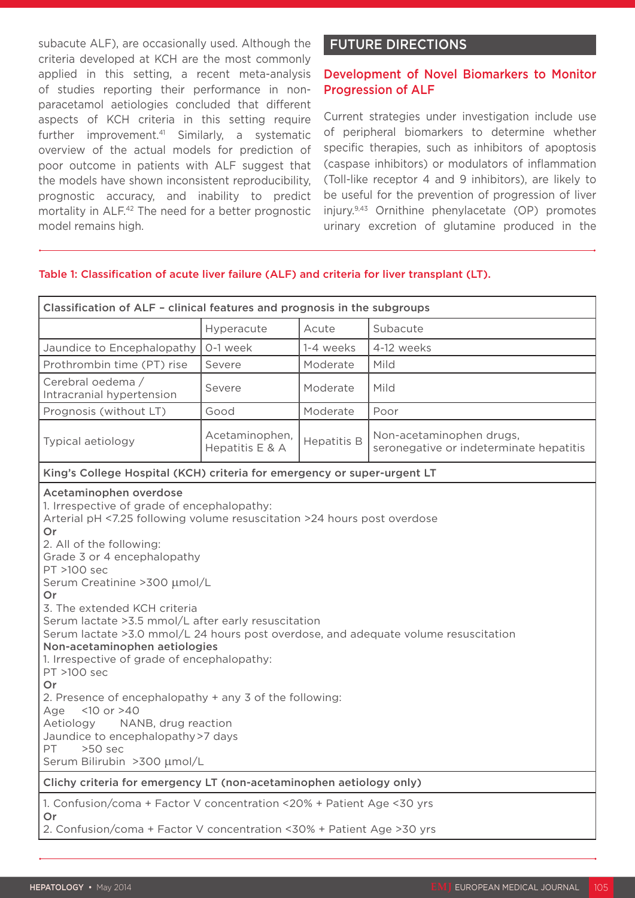subacute ALF), are occasionally used. Although the criteria developed at KCH are the most commonly applied in this setting, a recent meta-analysis of studies reporting their performance in nonparacetamol aetiologies concluded that different aspects of KCH criteria in this setting require further improvement.<sup>41</sup> Similarly, a systematic overview of the actual models for prediction of poor outcome in patients with ALF suggest that the models have shown inconsistent reproducibility, prognostic accuracy, and inability to predict mortality in ALF.42 The need for a better prognostic model remains high.

# FUTURE DIRECTIONS

## Development of Novel Biomarkers to Monitor Progression of ALF

Current strategies under investigation include use of peripheral biomarkers to determine whether specific therapies, such as inhibitors of apoptosis (caspase inhibitors) or modulators of inflammation (Toll-like receptor 4 and 9 inhibitors), are likely to be useful for the prevention of progression of liver injury.9,43 Ornithine phenylacetate (OP) promotes urinary excretion of glutamine produced in the

## Table 1: Classification of acute liver failure (ALF) and criteria for liver transplant (LT).

| Classification of ALF - clinical features and prognosis in the subgroups                                                                                                                                                                                                                                                                                                                                                                                                                                                                                                                                                                                                                                                                                                       |                                   |                    |                                                                     |
|--------------------------------------------------------------------------------------------------------------------------------------------------------------------------------------------------------------------------------------------------------------------------------------------------------------------------------------------------------------------------------------------------------------------------------------------------------------------------------------------------------------------------------------------------------------------------------------------------------------------------------------------------------------------------------------------------------------------------------------------------------------------------------|-----------------------------------|--------------------|---------------------------------------------------------------------|
|                                                                                                                                                                                                                                                                                                                                                                                                                                                                                                                                                                                                                                                                                                                                                                                | Hyperacute                        | Acute              | Subacute                                                            |
| Jaundice to Encephalopathy                                                                                                                                                                                                                                                                                                                                                                                                                                                                                                                                                                                                                                                                                                                                                     | O-1 week                          | 1-4 weeks          | 4-12 weeks                                                          |
| Prothrombin time (PT) rise                                                                                                                                                                                                                                                                                                                                                                                                                                                                                                                                                                                                                                                                                                                                                     | Severe                            | Moderate           | Mild                                                                |
| Cerebral oedema /<br>Intracranial hypertension                                                                                                                                                                                                                                                                                                                                                                                                                                                                                                                                                                                                                                                                                                                                 | Severe                            | Moderate           | Mild                                                                |
| Prognosis (without LT)                                                                                                                                                                                                                                                                                                                                                                                                                                                                                                                                                                                                                                                                                                                                                         | Good                              | Moderate           | Poor                                                                |
| Typical aetiology                                                                                                                                                                                                                                                                                                                                                                                                                                                                                                                                                                                                                                                                                                                                                              | Acetaminophen,<br>Hepatitis E & A | <b>Hepatitis B</b> | Non-acetaminophen drugs,<br>seronegative or indeterminate hepatitis |
| King's College Hospital (KCH) criteria for emergency or super-urgent LT                                                                                                                                                                                                                                                                                                                                                                                                                                                                                                                                                                                                                                                                                                        |                                   |                    |                                                                     |
| Acetaminophen overdose<br>1. Irrespective of grade of encephalopathy:<br>Arterial pH <7.25 following volume resuscitation >24 hours post overdose<br>Or<br>2. All of the following:<br>Grade 3 or 4 encephalopathy<br>PT >100 sec<br>Serum Creatinine > 300 µmol/L<br>Or<br>3. The extended KCH criteria<br>Serum lactate > 3.5 mmol/L after early resuscitation<br>Serum lactate >3.0 mmol/L 24 hours post overdose, and adequate volume resuscitation<br>Non-acetaminophen aetiologies<br>1. Irrespective of grade of encephalopathy:<br>PT >100 sec<br>Or<br>2. Presence of encephalopathy + any 3 of the following:<br>$< 10$ or $> 40$<br>Age<br>NANB, drug reaction<br>Aetiology<br>Jaundice to encephalopathy >7 days<br>PT<br>$>50$ sec<br>Serum Bilirubin >300 µmol/L |                                   |                    |                                                                     |
| Clichy criteria for emergency LT (non-acetaminophen aetiology only)                                                                                                                                                                                                                                                                                                                                                                                                                                                                                                                                                                                                                                                                                                            |                                   |                    |                                                                     |
| 1. Confusion/coma + Factor V concentration <20% + Patient Age <30 yrs<br>Or<br>2. Confusion/coma + Factor V concentration <30% + Patient Age >30 yrs                                                                                                                                                                                                                                                                                                                                                                                                                                                                                                                                                                                                                           |                                   |                    |                                                                     |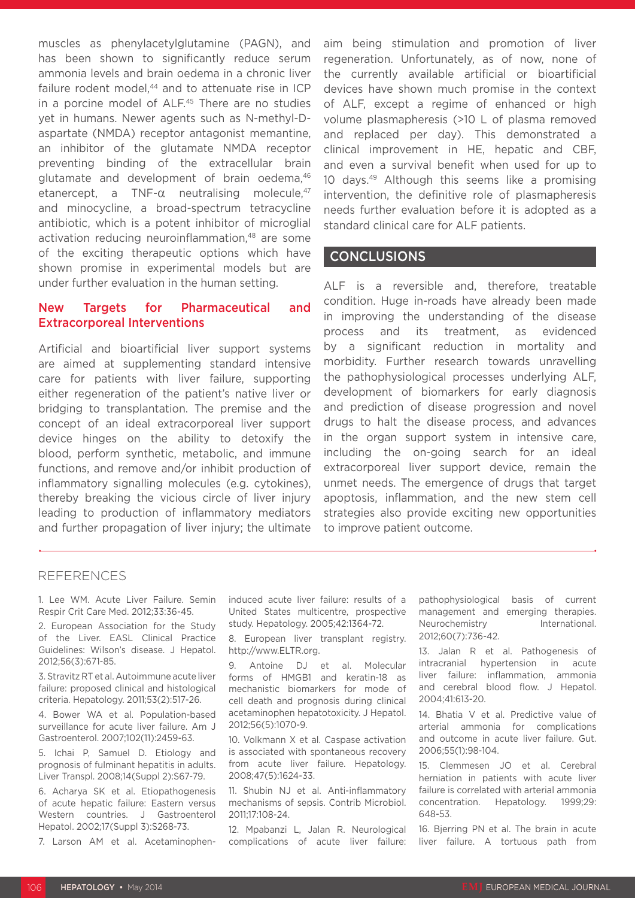muscles as phenylacetylglutamine (PAGN), and has been shown to significantly reduce serum ammonia levels and brain oedema in a chronic liver failure rodent model.<sup>44</sup> and to attenuate rise in ICP in a porcine model of ALF.45 There are no studies yet in humans. Newer agents such as N-methyl-Daspartate (NMDA) receptor antagonist memantine, an inhibitor of the glutamate NMDA receptor preventing binding of the extracellular brain glutamate and development of brain oedema, 46 etanercept, a TNF- $\alpha$  neutralising molecule.<sup>47</sup> and minocycline, a broad-spectrum tetracycline antibiotic, which is a potent inhibitor of microglial activation reducing neuroinflammation,<sup>48</sup> are some of the exciting therapeutic options which have shown promise in experimental models but are under further evaluation in the human setting.

## New Targets for Pharmaceutical and Extracorporeal Interventions

Artificial and bioartificial liver support systems are aimed at supplementing standard intensive care for patients with liver failure, supporting either regeneration of the patient's native liver or bridging to transplantation. The premise and the concept of an ideal extracorporeal liver support device hinges on the ability to detoxify the blood, perform synthetic, metabolic, and immune functions, and remove and/or inhibit production of inflammatory signalling molecules (e.g. cytokines), thereby breaking the vicious circle of liver injury leading to production of inflammatory mediators and further propagation of liver injury; the ultimate

aim being stimulation and promotion of liver regeneration. Unfortunately, as of now, none of the currently available artificial or bioartificial devices have shown much promise in the context of ALF, except a regime of enhanced or high volume plasmapheresis (>10 L of plasma removed and replaced per day). This demonstrated a clinical improvement in HE, hepatic and CBF, and even a survival benefit when used for up to 10 days.49 Although this seems like a promising intervention, the definitive role of plasmapheresis needs further evaluation before it is adopted as a standard clinical care for ALF patients.

### CONCLUSIONS

ALF is a reversible and, therefore, treatable condition. Huge in-roads have already been made in improving the understanding of the disease process and its treatment, as evidenced by a significant reduction in mortality and morbidity. Further research towards unravelling the pathophysiological processes underlying ALF, development of biomarkers for early diagnosis and prediction of disease progression and novel drugs to halt the disease process, and advances in the organ support system in intensive care, including the on-going search for an ideal extracorporeal liver support device, remain the unmet needs. The emergence of drugs that target apoptosis, inflammation, and the new stem cell strategies also provide exciting new opportunities to improve patient outcome.

#### REFERENCES

1. Lee WM. Acute Liver Failure. Semin Respir Crit Care Med. 2012;33:36-45.

2. European Association for the Study of the Liver. EASL Clinical Practice Guidelines: Wilson's disease. J Hepatol. 2012;56(3):671-85.

3. Stravitz RT et al. Autoimmune acute liver failure: proposed clinical and histological criteria. Hepatology. 2011;53(2):517-26.

4. Bower WA et al. Population-based surveillance for acute liver failure. Am J Gastroenterol. 2007;102(11):2459-63.

5. Ichai P, Samuel D. Etiology and prognosis of fulminant hepatitis in adults. Liver Transpl. 2008;14(Suppl 2):S67-79.

6. Acharya SK et al. Etiopathogenesis of acute hepatic failure: Eastern versus Western countries. J Gastroenterol Hepatol. 2002;17(Suppl 3):S268-73.

7. Larson AM et al. Acetaminophen-

induced acute liver failure: results of a United States multicentre, prospective study. Hepatology. 2005;42:1364-72.

8. European liver transplant registry. http://www.ELTR.org.

9. Antoine DJ et al. Molecular forms of HMGB1 and keratin-18 as mechanistic biomarkers for mode of cell death and prognosis during clinical acetaminophen hepatotoxicity. J Hepatol. 2012;56(5):1070-9.

10. Volkmann X et al. Caspase activation is associated with spontaneous recovery from acute liver failure. Hepatology. 2008;47(5):1624-33.

11. Shubin NJ et al. Anti-inflammatory mechanisms of sepsis. Contrib Microbiol. 2011;17:108-24.

12. Mpabanzi L, Jalan R. Neurological complications of acute liver failure: pathophysiological basis of current management and emerging therapies. Neurochemistry **International.** 2012;60(7):736-42.

13. Jalan R et al. Pathogenesis of intracranial hypertension in acute liver failure: inflammation, ammonia and cerebral blood flow. J Hepatol. 2004;41:613-20.

14. Bhatia V et al. Predictive value of arterial ammonia for complications and outcome in acute liver failure. Gut. 2006;55(1):98-104.

15. Clemmesen JO et al. Cerebral herniation in patients with acute liver failure is correlated with arterial ammonia concentration. Hepatology. 1999;29: 648-53.

16. Bjerring PN et al. The brain in acute liver failure. A tortuous path from